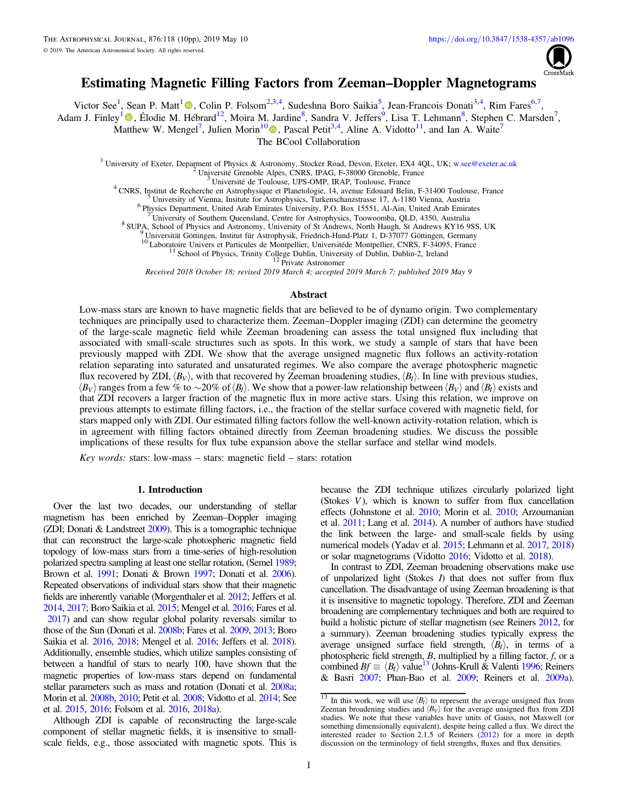

# Estimating Magnetic Filling Factors from Zeeman–Doppler Magnetograms

Victor See<sup>[1](https://orcid.org/0000-0001-9590-2274)</sup>[,](https://orcid.org/0000-0001-9590-2274) Sean P. Matt<sup>1</sup><sup>®</sup>, Colin P. Folsom<sup>2,3,4</sup>, Sudeshna Boro Saikia<sup>5</sup>, Jean-Francois Donati<sup>3,4</sup>, Rim Fares<sup>6,7</sup>,

Adam J. Finley<sup>[1](https://orcid.org/0000-0002-3020-9409)</sup> (D)[,](https://orcid.org/0000-0002-3020-9409) Élodie M. Hébrard<sup>12</sup>, Moira M. Jardine<sup>8</sup>, Sandra V. Jeffers<sup>9</sup>, Lisa T. Lehmann<sup>8</sup>, Stephen C. Marsden<sup>7</sup>,

Matthew W. Mengel<sup>7</sup>, Julien Morin<sup>1[0](https://orcid.org/0000-0002-4996-6901)</sup><sup>0</sup>[,](https://orcid.org/0000-0002-4996-6901) Pascal Petit<sup>3,4</sup>, Aline A. Vidotto<sup>11</sup>, and Ian A. Waite<sup>7</sup>

The BCool Collaboration

<sup>1</sup> University of Exeter, Deparment of Physics & Astronomy, Stocker Road, Devon, Exeter, EX4 4QL, UK; [w.see@exeter.ac.uk](mailto:w.see@exeter.ac.uk) <sup>2</sup> Université Grenoble Alpes, CNRS, IPAG, F-38000 Grenoble, France<br><sup>3</sup> Université de Toulouse, UPS-

<sup>6</sup> Physics Department, United Arab Emirates University, P.O. Box 15551, Al-Ain, United Arab Emirates<br><sup>8</sup> SUPA, School of Physics and Astronomy, University of St Andrews, North Haugh, St Andrews KY16 9SS, UK<br><sup>8</sup> SUPA, Scho

<sup>11</sup> School of Physics, Trinity College Dublin, University of Dublin, Dublin-2, Ireland <sup>12</sup> Private Astronomer

Received 2018 October 18; revised 2019 March 4; accepted 2019 March 7; published 2019 May 9

#### Abstract

Low-mass stars are known to have magnetic fields that are believed to be of dynamo origin. Two complementary techniques are principally used to characterize them. Zeeman–Doppler imaging (ZDI) can determine the geometry of the large-scale magnetic field while Zeeman broadening can assess the total unsigned flux including that associated with small-scale structures such as spots. In this work, we study a sample of stars that have been previously mapped with ZDI. We show that the average unsigned magnetic flux follows an activity-rotation relation separating into saturated and unsaturated regimes. We also compare the average photospheric magnetic flux recovered by ZDI,  $\langle B_V \rangle$ , with that recovered by Zeeman broadening studies,  $\langle B_I \rangle$ . In line with previous studies, *(B<sub>V</sub>*) ranges from a few % to ∼20% of  $\langle B_l \rangle$ . We show that a power-law relationship between  $\langle B_V \rangle$  and  $\langle B_l \rangle$  exists and that ZDI recovers a larger fraction of the magnetic flux in more active stars. Using this relation, we improve on previous attempts to estimate filling factors, i.e., the fraction of the stellar surface covered with magnetic field, for stars mapped only with ZDI. Our estimated filling factors follow the well-known activity-rotation relation, which is in agreement with filling factors obtained directly from Zeeman broadening studies. We discuss the possible implications of these results for flux tube expansion above the stellar surface and stellar wind models.

Key words: stars: low-mass – stars: magnetic field – stars: rotation

## 1. Introduction

Over the last two decades, our understanding of stellar magnetism has been enriched by Zeeman–Doppler imaging (ZDI; Donati & Landstreet [2009](#page-8-0)). This is a tomographic technique that can reconstruct the large-scale photospheric magnetic field topology of low-mass stars from a time-series of high-resolution polarized spectra sampling at least one stellar rotation, (Semel [1989](#page-9-0); Brown et al. [1991;](#page-8-0) Donati & Brown [1997;](#page-8-0) Donati et al. [2006](#page-8-0)). Repeated observations of individual stars show that their magnetic fields are inherently variable (Morgenthaler et al. [2012;](#page-9-0) Jeffers et al. [2014,](#page-9-0) [2017](#page-9-0); Boro Saikia et al. [2015;](#page-8-0) Mengel et al. [2016](#page-9-0); Fares et al. [2017](#page-8-0)) and can show regular global polarity reversals similar to those of the Sun (Donati et al. [2008b](#page-8-0); Fares et al. [2009,](#page-8-0) [2013](#page-8-0); Boro Saikia et al. [2016](#page-8-0), [2018;](#page-8-0) Mengel et al. [2016;](#page-9-0) Jeffers et al. [2018](#page-9-0)). Additionally, ensemble studies, which utilize samples consisting of between a handful of stars to nearly 100, have shown that the magnetic properties of low-mass stars depend on fundamental stellar parameters such as mass and rotation (Donati et al. [2008a](#page-8-0); Morin et al. [2008b,](#page-9-0) [2010;](#page-9-0) Petit et al. [2008](#page-9-0); Vidotto et al. [2014](#page-9-0); See et al. [2015,](#page-9-0) [2016;](#page-9-0) Folsom et al. [2016,](#page-9-0) [2018a](#page-8-0)).

Although ZDI is capable of reconstructing the large-scale component of stellar magnetic fields, it is insensitive to smallscale fields, e.g., those associated with magnetic spots. This is

because the ZDI technique utilizes circularly polarized light (Stokes V), which is known to suffer from flux cancellation effects (Johnstone et al. [2010;](#page-9-0) Morin et al. [2010;](#page-9-0) Arzoumanian et al. [2011;](#page-8-0) Lang et al. [2014](#page-9-0)). A number of authors have studied the link between the large- and small-scale fields by using numerical models (Yadav et al. [2015](#page-9-0); Lehmann et al. [2017,](#page-9-0) [2018](#page-9-0)) or solar magnetograms (Vidotto [2016;](#page-9-0) Vidotto et al. [2018](#page-9-0)).

In contrast to ZDI, Zeeman broadening observations make use of unpolarized light (Stokes  $I$ ) that does not suffer from flux cancellation. The disadvantage of using Zeeman broadening is that it is insensitive to magnetic topology. Therefore, ZDI and Zeeman broadening are complementary techniques and both are required to build a holistic picture of stellar magnetism (see Reiners [2012,](#page-9-0) for a summary). Zeeman broadening studies typically express the average unsigned surface field strength,  $\langle B_I \rangle$ , in terms of a photospheric field strength,  $B$ , multiplied by a filling factor,  $f$ , or a combined  $Bf \equiv \langle B_l \rangle$  value<sup>13</sup> (Johns-Krull & Valenti [1996;](#page-9-0) Reiners & Basri [2007](#page-9-0); Phan-Bao et al. [2009;](#page-9-0) Reiners et al. [2009a](#page-9-0)).

 $\frac{13}{13}$  In this work, we will use  $\langle B_I \rangle$  to represent the average unsigned flux from Zeeman broadening studies and  $\langle B_V \rangle$  for the average unsigned flux from ZDI studies. We note that these variables have units of Gauss, not Maxwell (or something dimensionally equivalent), despite being called a flux. We direct the interested reader to Section 2.1.5 of Reiners ([2012](#page-9-0)) for a more in depth discussion on the terminology of field strengths, fluxes and flux densities.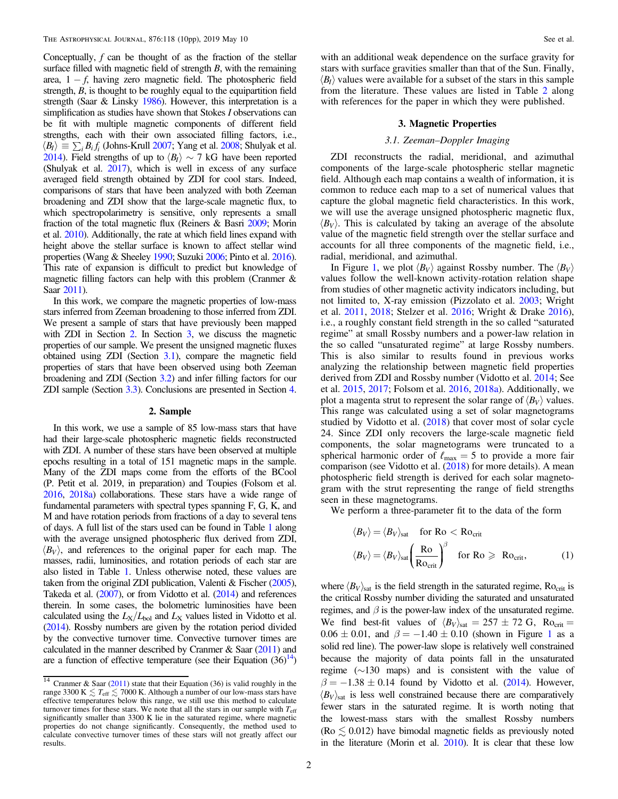<span id="page-1-0"></span>Conceptually,  $f$  can be thought of as the fraction of the stellar surface filled with magnetic field of strength  $B$ , with the remaining area,  $1 - f$ , having zero magnetic field. The photospheric field strength, B, is thought to be roughly equal to the equipartition field strength (Saar & Linsky [1986](#page-9-0)). However, this interpretation is a simplification as studies have shown that Stokes I observations can be fit with multiple magnetic components of different field strengths, each with their own associated filling factors, i.e.,  $\langle B_I \rangle \equiv \sum_i B_i f_i$  (Johns-Krull [2007](#page-9-0); Yang et al. [2008;](#page-9-0) Shulyak et al. [2014](#page-9-0)). Field strengths of up to  $\langle B_{I} \rangle \sim 7$  kG have been reported (Shulyak et al. [2017](#page-9-0)), which is well in excess of any surface averaged field strength obtained by ZDI for cool stars. Indeed, comparisons of stars that have been analyzed with both Zeeman broadening and ZDI show that the large-scale magnetic flux, to which spectropolarimetry is sensitive, only represents a small fraction of the total magnetic flux (Reiners & Basri [2009](#page-9-0); Morin et al. [2010](#page-9-0)). Additionally, the rate at which field lines expand with height above the stellar surface is known to affect stellar wind properties (Wang & Sheeley [1990;](#page-9-0) Suzuki [2006;](#page-9-0) Pinto et al. [2016](#page-9-0)). This rate of expansion is difficult to predict but knowledge of magnetic filling factors can help with this problem (Cranmer & Saar [2011](#page-8-0)).

In this work, we compare the magnetic properties of low-mass stars inferred from Zeeman broadening to those inferred from ZDI. We present a sample of stars that have previously been mapped with ZDI in Section 2. In Section 3, we discuss the magnetic properties of our sample. We present the unsigned magnetic fluxes obtained using ZDI (Section 3.1), compare the magnetic field properties of stars that have been observed using both Zeeman broadening and ZDI (Section [3.2](#page-5-0)) and infer filling factors for our ZDI sample (Section [3.3](#page-7-0)). Conclusions are presented in Section [4.](#page-8-0)

## 2. Sample

In this work, we use a sample of 85 low-mass stars that have had their large-scale photospheric magnetic fields reconstructed with ZDI. A number of these stars have been observed at multiple epochs resulting in a total of 151 magnetic maps in the sample. Many of the ZDI maps come from the efforts of the BCool (P. Petit et al. 2019, in preparation) and Toupies (Folsom et al. [2016,](#page-9-0) [2018a](#page-8-0)) collaborations. These stars have a wide range of fundamental parameters with spectral types spanning F, G, K, and M and have rotation periods from fractions of a day to several tens of days. A full list of the stars used can be found in Table [1](#page-2-0) along with the average unsigned photospheric flux derived from ZDI,  $\langle B_V \rangle$ , and references to the original paper for each map. The masses, radii, luminosities, and rotation periods of each star are also listed in Table [1.](#page-2-0) Unless otherwise noted, these values are taken from the original ZDI publication, Valenti & Fischer ([2005](#page-9-0)), Takeda et al. ([2007](#page-9-0)), or from Vidotto et al. ([2014](#page-9-0)) and references therein. In some cases, the bolometric luminosities have been calculated using the  $L_X/L_{bol}$  and  $L_X$  values listed in Vidotto et al. ([2014](#page-9-0)). Rossby numbers are given by the rotation period divided by the convective turnover time. Convective turnover times are calculated in the manner described by Cranmer & Saar  $(2011)$  $(2011)$  $(2011)$  and are a function of effective temperature (see their Equation  $(36)^{14}$ )

with an additional weak dependence on the surface gravity for stars with surface gravities smaller than that of the Sun. Finally,  $\langle B_{I} \rangle$  values were available for a subset of the stars in this sample from the literature. These values are listed in Table [2](#page-5-0) along with references for the paper in which they were published.

### 3. Magnetic Properties

## 3.1. Zeeman–Doppler Imaging

ZDI reconstructs the radial, meridional, and azimuthal components of the large-scale photospheric stellar magnetic field. Although each map contains a wealth of information, it is common to reduce each map to a set of numerical values that capture the global magnetic field characteristics. In this work, we will use the average unsigned photospheric magnetic flux,  $\langle B_V \rangle$ . This is calculated by taking an average of the absolute value of the magnetic field strength over the stellar surface and accounts for all three components of the magnetic field, i.e., radial, meridional, and azimuthal.

In Figure [1,](#page-5-0) we plot  $\langle B_V \rangle$  against Rossby number. The  $\langle B_V \rangle$ values follow the well-known activity-rotation relation shape from studies of other magnetic activity indicators including, but not limited to, X-ray emission (Pizzolato et al. [2003](#page-9-0); Wright et al. [2011](#page-9-0), [2018](#page-9-0); Stelzer et al. [2016](#page-9-0); Wright & Drake [2016](#page-9-0)), i.e., a roughly constant field strength in the so called "saturated regime" at small Rossby numbers and a power-law relation in the so called "unsaturated regime" at large Rossby numbers. This is also similar to results found in previous works analyzing the relationship between magnetic field properties derived from ZDI and Rossby number (Vidotto et al. [2014;](#page-9-0) See et al. [2015,](#page-9-0) [2017;](#page-9-0) Folsom et al. [2016,](#page-9-0) [2018a](#page-8-0)). Additionally, we plot a magenta strut to represent the solar range of  $\langle B_V \rangle$  values. This range was calculated using a set of solar magnetograms studied by Vidotto et al. ([2018](#page-9-0)) that cover most of solar cycle 24. Since ZDI only recovers the large-scale magnetic field components, the solar magnetograms were truncated to a spherical harmonic order of  $\ell_{\text{max}} = 5$  to provide a more fair comparison (see Vidotto et al. ([2018](#page-9-0)) for more details). A mean photospheric field strength is derived for each solar magnetogram with the strut representing the range of field strengths seen in these magnetograms.

We perform a three-parameter fit to the data of the form

$$
\langle B_V \rangle = \langle B_V \rangle_{\text{sat}} \quad \text{for } \text{Ro} < \text{Ro}_{\text{crit}}
$$
\n
$$
\langle B_V \rangle = \langle B_V \rangle_{\text{sat}} \left( \frac{\text{Ro}}{\text{Ro}_{\text{crit}}} \right)^{\beta} \quad \text{for } \text{Ro} \geq \text{ Ro}_{\text{crit}}, \tag{1}
$$

where  $\langle B_V \rangle_{\text{sat}}$  is the field strength in the saturated regime, Ro<sub>crit</sub> is the critical Rossby number dividing the saturated and unsaturated regimes, and  $\beta$  is the power-law index of the unsaturated regime. We find best-fit values of  $\langle B_V \rangle_{\text{sat}} = 257 \pm 72$  G, Ro<sub>crit</sub> =  $0.06 \pm 0.01$  $0.06 \pm 0.01$ , and  $\beta = -1.40 \pm 0.10$  (shown in Figure 1 as a solid red line). The power-law slope is relatively well constrained because the majority of data points fall in the unsaturated regime (∼130 maps) and is consistent with the value of  $\beta = -1.38 \pm 0.14$  found by Vidotto et al. ([2014](#page-9-0)). However,  $\langle B_V \rangle$ <sub>sat</sub> is less well constrained because there are comparatively fewer stars in the saturated regime. It is worth noting that the lowest-mass stars with the smallest Rossby numbers (Ro  $\leq 0.012$ ) have bimodal magnetic fields as previously noted in the literature (Morin et al. [2010](#page-9-0)). It is clear that these low

 $\frac{14}{14}$  Cranmer & Saar ([2011](#page-8-0)) state that their Equation (36) is valid roughly in the range 3300 K  $\leq T_{\text{eff}} \leq 7000$  K. Although a number of our low-mass stars have effective temperatures below this range, we still use this method to calculate turnover times for these stars. We note that all the stars in our sample with  $T_{\text{eff}}$ significantly smaller than 3300 K lie in the saturated regime, where magnetic properties do not change significantly. Consequently, the method used to calculate convective turnover times of these stars will not greatly affect our results.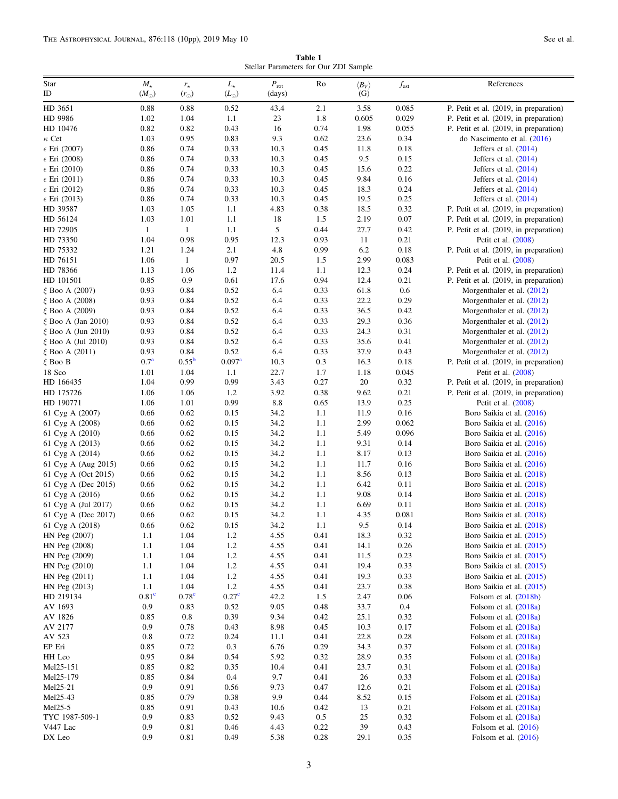Table 1 Stellar Parameters for Our ZDI Sample

<span id="page-2-0"></span>

| Star                                           | $M_{\star}$       | $r_{\star}$       | $L_{\star}$       | $P_{\rm rot}$ | Ro           | $\langle B_V \rangle$ | $f_{est}$    | References                                               |
|------------------------------------------------|-------------------|-------------------|-------------------|---------------|--------------|-----------------------|--------------|----------------------------------------------------------|
| ID                                             | $(M_{\odot})$     | $(r_{\odot})$     | $(L_{\odot})$     | (days)        |              | (G)                   |              |                                                          |
| HD 3651                                        | 0.88              | 0.88              | 0.52              | 43.4          | 2.1          | 3.58                  | 0.085        | P. Petit et al. (2019, in preparation)                   |
| HD 9986                                        | 1.02              | 1.04              | 1.1               | 23            | 1.8          | 0.605                 | 0.029        | P. Petit et al. (2019, in preparation)                   |
| HD 10476                                       | 0.82              | 0.82              | 0.43              | 16            | 0.74         | 1.98                  | 0.055        | P. Petit et al. (2019, in preparation)                   |
| $\kappa$ Cet                                   | 1.03              | 0.95              | 0.83              | 9.3           | 0.62         | 23.6                  | 0.34         | do Nascimento et al. (2016)                              |
| $\epsilon$ Eri (2007)                          | 0.86              | 0.74<br>0.74      | 0.33              | 10.3<br>10.3  | 0.45         | 11.8<br>9.5           | 0.18         | Jeffers et al. $(2014)$                                  |
| $\epsilon$ Eri (2008)<br>$\epsilon$ Eri (2010) | 0.86<br>0.86      | 0.74              | 0.33<br>0.33      | 10.3          | 0.45<br>0.45 | 15.6                  | 0.15<br>0.22 | Jeffers et al. $(2014)$                                  |
| $\epsilon$ Eri (2011)                          | 0.86              | 0.74              | 0.33              | 10.3          | 0.45         | 9.84                  | 0.16         | Jeffers et al. $(2014)$<br>Jeffers et al. $(2014)$       |
| $\epsilon$ Eri (2012)                          | 0.86              | 0.74              | 0.33              | 10.3          | 0.45         | 18.3                  | 0.24         | Jeffers et al. $(2014)$                                  |
| $\epsilon$ Eri (2013)                          | 0.86              | 0.74              | 0.33              | 10.3          | 0.45         | 19.5                  | 0.25         | Jeffers et al. $(2014)$                                  |
| HD 39587                                       | 1.03              | 1.05              | 1.1               | 4.83          | 0.38         | 18.5                  | 0.32         | P. Petit et al. (2019, in preparation)                   |
| HD 56124                                       | 1.03              | 1.01              | 1.1               | 18            | 1.5          | 2.19                  | 0.07         | P. Petit et al. (2019, in preparation)                   |
| HD 72905                                       | $\mathbf{1}$      | $\mathbf{1}$      | 1.1               | 5             | 0.44         | 27.7                  | 0.42         | P. Petit et al. (2019, in preparation)                   |
| HD 73350                                       | 1.04              | 0.98              | 0.95              | 12.3          | 0.93         | 11                    | 0.21         | Petit et al. (2008)                                      |
| HD 75332                                       | 1.21              | 1.24              | 2.1               | 4.8           | 0.99         | 6.2                   | 0.18         | P. Petit et al. (2019, in preparation)                   |
| HD 76151                                       | 1.06              | $\mathbf{1}$      | 0.97              | 20.5          | 1.5          | 2.99                  | 0.083        | Petit et al. (2008)                                      |
| HD 78366                                       | 1.13              | 1.06              | 1.2               | 11.4          | 1.1          | 12.3                  | 0.24         | P. Petit et al. (2019, in preparation)                   |
| HD 101501                                      | 0.85              | 0.9               | 0.61              | 17.6          | 0.94         | 12.4                  | 0.21         | P. Petit et al. (2019, in preparation)                   |
| ξ Boo A (2007)                                 | 0.93              | 0.84              | 0.52              | 6.4           | 0.33         | 61.8                  | 0.6          | Morgenthaler et al. (2012)                               |
| ξ Boo A (2008)                                 | 0.93              | 0.84              | 0.52              | 6.4           | 0.33         | 22.2                  | 0.29         | Morgenthaler et al. (2012)                               |
| ξ Boo A (2009)                                 | 0.93              | 0.84              | 0.52              | 6.4           | 0.33         | 36.5                  | 0.42         | Morgenthaler et al. (2012)                               |
| $\xi$ Boo A (Jan 2010)                         | 0.93              | 0.84              | 0.52              | 6.4           | 0.33         | 29.3                  | 0.36         | Morgenthaler et al. (2012)                               |
| $\xi$ Boo A (Jun 2010)                         | 0.93              | 0.84<br>0.84      | 0.52<br>0.52      | 6.4<br>6.4    | 0.33<br>0.33 | 24.3<br>35.6          | 0.31         | Morgenthaler et al. (2012)                               |
| $\xi$ Boo A (Jul 2010)<br>ξ Boo A (2011)       | 0.93<br>0.93      | 0.84              | 0.52              | 6.4           | 0.33         | 37.9                  | 0.41<br>0.43 | Morgenthaler et al. (2012)<br>Morgenthaler et al. (2012) |
| $\xi$ Boo B                                    | 0.7 <sup>a</sup>  | $0.55^{\rm b}$    | $0.097^{\rm a}$   | 10.3          | 0.3          | 16.3                  | 0.18         | P. Petit et al. (2019, in preparation)                   |
| 18 Sco                                         | 1.01              | 1.04              | 1.1               | 22.7          | 1.7          | 1.18                  | 0.045        | Petit et al. (2008)                                      |
| HD 166435                                      | 1.04              | 0.99              | 0.99              | 3.43          | 0.27         | $20\,$                | 0.32         | P. Petit et al. (2019, in preparation)                   |
| HD 175726                                      | 1.06              | 1.06              | 1.2               | 3.92          | 0.38         | 9.62                  | 0.21         | P. Petit et al. (2019, in preparation)                   |
| HD 190771                                      | 1.06              | 1.01              | 0.99              | 8.8           | 0.65         | 13.9                  | 0.25         | Petit et al. (2008)                                      |
| 61 Cyg A (2007)                                | 0.66              | 0.62              | 0.15              | 34.2          | 1.1          | 11.9                  | 0.16         | Boro Saikia et al. (2016)                                |
| 61 Cyg A (2008)                                | 0.66              | 0.62              | 0.15              | 34.2          | 1.1          | 2.99                  | 0.062        | Boro Saikia et al. (2016)                                |
| 61 Cyg A (2010)                                | 0.66              | 0.62              | 0.15              | 34.2          | 1.1          | 5.49                  | 0.096        | Boro Saikia et al. (2016)                                |
| 61 Cyg A (2013)                                | 0.66              | 0.62              | 0.15              | 34.2          | 1.1          | 9.31                  | 0.14         | Boro Saikia et al. (2016)                                |
| 61 Cyg A (2014)                                | 0.66              | 0.62              | 0.15              | 34.2          | 1.1          | 8.17                  | 0.13         | Boro Saikia et al. (2016)                                |
| 61 Cyg A (Aug 2015)                            | 0.66              | 0.62              | 0.15              | 34.2          | 1.1          | 11.7                  | 0.16         | Boro Saikia et al. (2016)                                |
| 61 Cyg A (Oct 2015)                            | 0.66              | 0.62              | 0.15              | 34.2          | 1.1          | 8.56                  | 0.13         | Boro Saikia et al. (2018)                                |
| 61 Cyg A (Dec 2015)                            | 0.66              | 0.62              | 0.15              | 34.2          | 1.1          | 6.42                  | 0.11         | Boro Saikia et al. (2018)                                |
| 61 Cyg A (2016)                                | 0.66              | 0.62              | 0.15              | 34.2          | 1.1          | 9.08                  | 0.14         | Boro Saikia et al. (2018)                                |
| 61 Cyg A (Jul 2017)                            | 0.66              | 0.62              | 0.15              | 34.2          | 1.1          | 6.69                  | 0.11         | Boro Saikia et al. (2018)                                |
| 61 Cyg A (Dec 2017)                            | 0.66              | 0.62              | 0.15              | 34.2          | 1.1          | 4.35                  | 0.081        | Boro Saikia et al. (2018)                                |
| 61 Cyg A (2018)                                | 0.66              | $0.62\,$          | $0.15\,$          | 34.2          | $1.1\,$      | $9.5\,$               | 0.14         | Boro Saikia et al. (2018)                                |
| HN Peg (2007)<br>HN Peg (2008)                 | 1.1<br>1.1        | 1.04<br>1.04      | 1.2<br>1.2        | 4.55<br>4.55  | 0.41<br>0.41 | 18.3<br>14.1          | 0.32<br>0.26 | Boro Saikia et al. (2015)<br>Boro Saikia et al. (2015)   |
| HN Peg (2009)                                  | 1.1               | 1.04              | 1.2               | 4.55          | 0.41         | 11.5                  | 0.23         | Boro Saikia et al. (2015)                                |
| HN Peg (2010)                                  | 1.1               | 1.04              | 1.2               | 4.55          | 0.41         | 19.4                  | 0.33         | Boro Saikia et al. (2015)                                |
| HN Peg (2011)                                  | 1.1               | 1.04              | 1.2               | 4.55          | 0.41         | 19.3                  | 0.33         | Boro Saikia et al. (2015)                                |
| HN Peg (2013)                                  | 1.1               | 1.04              | 1.2               | 4.55          | 0.41         | 23.7                  | 0.38         | Boro Saikia et al. (2015)                                |
| HD 219134                                      | 0.81 <sup>c</sup> | 0.78 <sup>c</sup> | 0.27 <sup>c</sup> | 42.2          | 1.5          | 2.47                  | 0.06         | Folsom et al. $(2018b)$                                  |
| AV 1693                                        | 0.9               | 0.83              | 0.52              | 9.05          | 0.48         | 33.7                  | 0.4          | Folsom et al. $(2018a)$                                  |
| AV 1826                                        | 0.85              | 0.8               | 0.39              | 9.34          | 0.42         | 25.1                  | 0.32         | Folsom et al. (2018a)                                    |
| AV 2177                                        | 0.9               | 0.78              | 0.43              | 8.98          | 0.45         | 10.3                  | 0.17         | Folsom et al. (2018a)                                    |
| AV 523                                         | 0.8               | 0.72              | 0.24              | 11.1          | 0.41         | 22.8                  | 0.28         | Folsom et al. (2018a)                                    |
| EP Eri                                         | 0.85              | 0.72              | 0.3               | 6.76          | 0.29         | 34.3                  | 0.37         | Folsom et al. $(2018a)$                                  |
| HH Leo                                         | 0.95              | 0.84              | 0.54              | 5.92          | 0.32         | 28.9                  | 0.35         | Folsom et al. (2018a)                                    |
| Mel25-151                                      | 0.85              | 0.82              | 0.35              | 10.4          | 0.41         | 23.7                  | 0.31         | Folsom et al. $(2018a)$                                  |
| Mel25-179                                      | 0.85              | 0.84              | 0.4               | 9.7           | 0.41         | 26                    | 0.33         | Folsom et al. $(2018a)$                                  |
| Mel25-21                                       | 0.9               | 0.91              | 0.56              | 9.73          | 0.47         | 12.6                  | 0.21         | Folsom et al. $(2018a)$                                  |
| Mel25-43                                       | 0.85              | 0.79              | 0.38              | 9.9           | 0.44         | 8.52                  | 0.15         | Folsom et al. (2018a)                                    |
| Mel25-5<br>TYC 1987-509-1                      | 0.85              | 0.91              | 0.43              | 10.6          | 0.42         | 13<br>25              | 0.21         | Folsom et al. (2018a)                                    |
| V447 Lac                                       | 0.9<br>0.9        | 0.83<br>0.81      | 0.52<br>0.46      | 9.43<br>4.43  | 0.5<br>0.22  | 39                    | 0.32<br>0.43 | Folsom et al. $(2018a)$<br>Folsom et al. $(2016)$        |
| DX Leo                                         | 0.9               | 0.81              | 0.49              | 5.38          | 0.28         | 29.1                  | 0.35         | Folsom et al. $(2016)$                                   |
|                                                |                   |                   |                   |               |              |                       |              |                                                          |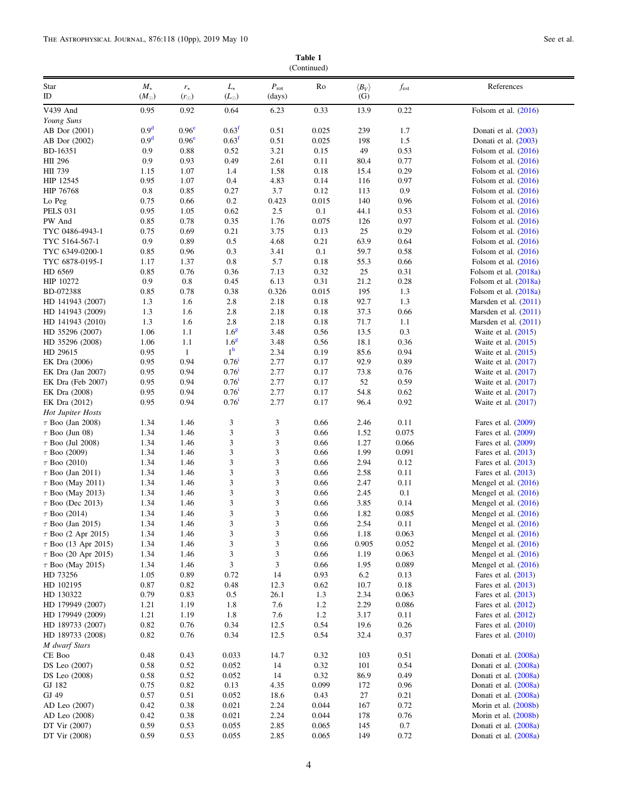Table 1 (Continued)

| Star                              | $M_{\star}$      | $r_{\star}$       | $L_{\star}$                 | $P_{\rm rot}$ | Ro            | $\langle B_V \rangle$ | $f_{est}$    | References                                         |
|-----------------------------------|------------------|-------------------|-----------------------------|---------------|---------------|-----------------------|--------------|----------------------------------------------------|
| $\rm ID$                          | $(M_{\odot})$    | $(r_{\odot})$     | $(L_{\odot})$               | (days)        |               | (G)                   |              |                                                    |
| V439 And                          | 0.95             | 0.92              | 0.64                        | 6.23          | 0.33          | 13.9                  | 0.22         | Folsom et al. (2016)                               |
| Young Suns                        |                  |                   |                             |               |               |                       |              |                                                    |
| AB Dor (2001)                     | 0.9 <sup>d</sup> | 0.96 <sup>e</sup> | 0.63 <sup>f</sup>           | 0.51          | 0.025         | 239                   | 1.7          | Donati et al. (2003)                               |
| AB Dor (2002)                     | 0.9 <sup>d</sup> | 0.96 <sup>e</sup> | 0.63 <sup>f</sup>           | 0.51          | 0.025         | 198                   | 1.5          | Donati et al. (2003)                               |
| BD-16351                          | 0.9              | 0.88              | 0.52                        | 3.21          | 0.15          | 49                    | 0.53         | Folsom et al. $(2016)$                             |
| HII 296                           | 0.9              | 0.93              | 0.49                        | 2.61          | 0.11          | 80.4                  | 0.77         | Folsom et al. $(2016)$                             |
| HII 739                           | 1.15             | 1.07              | 1.4                         | 1.58          | 0.18          | 15.4                  | 0.29         | Folsom et al. $(2016)$                             |
| HIP 12545                         | 0.95             | 1.07              | 0.4                         | 4.83          | 0.14          | 116                   | 0.97         | Folsom et al. $(2016)$                             |
| <b>HIP 76768</b>                  | 0.8              | 0.85              | 0.27                        | 3.7           | 0.12          | 113                   | 0.9          | Folsom et al. $(2016)$                             |
| Lo Peg                            | 0.75             | 0.66              | 0.2                         | 0.423         | 0.015         | 140                   | 0.96         | Folsom et al. $(2016)$                             |
| <b>PELS 031</b>                   | 0.95             | 1.05              | 0.62                        | 2.5           | 0.1           | 44.1                  | 0.53         | Folsom et al. $(2016)$                             |
| PW And                            | 0.85             | 0.78              | 0.35                        | 1.76          | 0.075         | 126                   | 0.97         | Folsom et al. $(2016)$                             |
| TYC 0486-4943-1                   | 0.75             | 0.69              | 0.21                        | 3.75          | 0.13          | 25                    | 0.29         | Folsom et al. $(2016)$                             |
| TYC 5164-567-1                    | 0.9              | 0.89              | 0.5                         | 4.68          | 0.21          | 63.9                  | 0.64         | Folsom et al. $(2016)$                             |
| TYC 6349-0200-1                   | 0.85             | 0.96              | 0.3                         | 3.41          | 0.1           | 59.7                  | 0.58         | Folsom et al. $(2016)$                             |
| TYC 6878-0195-1                   | 1.17             | 1.37              | 0.8                         | 5.7           | 0.18          | 55.3                  | 0.66         | Folsom et al. $(2016)$                             |
| HD 6569<br>HIP 10272              | 0.85             | 0.76              | 0.36                        | 7.13          | 0.32          | 25                    | 0.31         | Folsom et al. $(2018a)$                            |
|                                   | 0.9              | 0.8               | 0.45                        | 6.13          | 0.31          | 21.2<br>195           | 0.28         | Folsom et al. (2018a)                              |
| BD-072388<br>HD 141943 (2007)     | 0.85<br>1.3      | 0.78              | 0.38                        | 0.326         | 0.015<br>0.18 | 92.7                  | 1.3<br>1.3   | Folsom et al. $(2018a)$                            |
| HD 141943 (2009)                  | 1.3              | 1.6<br>1.6        | 2.8<br>2.8                  | 2.18<br>2.18  | 0.18          | 37.3                  | 0.66         | Marsden et al. $(2011)$<br>Marsden et al. $(2011)$ |
| HD 141943 (2010)                  | 1.3              | 1.6               | 2.8                         | 2.18          | 0.18          | 71.7                  | 1.1          | Marsden et al. $(2011)$                            |
| HD 35296 (2007)                   | 1.06             | 1.1               | 1.6 <sup>g</sup>            | 3.48          | 0.56          | 13.5                  | 0.3          | Waite et al. $(2015)$                              |
| HD 35296 (2008)                   | 1.06             | 1.1               | 1.6 <sup>g</sup>            | 3.48          | 0.56          | 18.1                  | 0.36         | Waite et al. $(2015)$                              |
| HD 29615                          | 0.95             | $\mathbf{1}$      | 1 <sup>h</sup>              | 2.34          | 0.19          | 85.6                  | 0.94         | Waite et al. $(2015)$                              |
| EK Dra (2006)                     | 0.95             | 0.94              | $0.76^{i}$                  | 2.77          | 0.17          | 92.9                  | 0.89         | Waite et al. (2017)                                |
| EK Dra (Jan 2007)                 | 0.95             | 0.94              | $0.76$ <sup>1</sup>         | 2.77          | 0.17          | 73.8                  | 0.76         | Waite et al. (2017)                                |
| EK Dra (Feb 2007)                 | 0.95             | 0.94              | $0.76^{i}$                  | 2.77          | 0.17          | 52                    | 0.59         | Waite et al. $(2017)$                              |
| EK Dra (2008)                     | 0.95             | 0.94              | $0.76$ <sup>1</sup>         | 2.77          | 0.17          | 54.8                  | 0.62         | Waite et al. (2017)                                |
| EK Dra (2012)                     | 0.95             | 0.94              | $0.76$ <sup>1</sup>         | 2.77          | 0.17          | 96.4                  | 0.92         | Waite et al. (2017)                                |
| <b>Hot Jupiter Hosts</b>          |                  |                   |                             |               |               |                       |              |                                                    |
| $\tau$ Boo (Jan 2008)             | 1.34             | 1.46              | 3                           | 3             | 0.66          | 2.46                  | 0.11         | Fares et al. (2009)                                |
| $\tau$ Boo (Jun 08)               | 1.34             | 1.46              | 3                           | 3             | 0.66          | 1.52                  | 0.075        | Fares et al. $(2009)$                              |
| $\tau$ Boo (Jul 2008)             | 1.34             | 1.46              | 3                           | 3             | 0.66          | 1.27                  | 0.066        | Fares et al. (2009)                                |
| $\tau$ Boo (2009)                 | 1.34             | 1.46              | 3                           | 3             | 0.66          | 1.99                  | 0.091        | Fares et al. $(2013)$                              |
| $\tau$ Boo (2010)                 | 1.34             | 1.46              | 3                           | 3             | 0.66          | 2.94                  | 0.12         | Fares et al. (2013)                                |
| $\tau$ Boo (Jan 2011)             | 1.34             | 1.46              | $\ensuremath{\mathfrak{Z}}$ | 3             | 0.66          | 2.58                  | 0.11         | Fares et al. (2013)                                |
| $\tau$ Boo (May 2011)             | 1.34             | 1.46              | 3                           | 3             | 0.66          | 2.47                  | 0.11         | Mengel et al. $(2016)$                             |
| $\tau$ Boo (May 2013)             | 1.34             | 1.46              | 3                           | 3             | 0.66          | 2.45                  | 0.1          | Mengel et al. $(2016)$                             |
| $\tau$ Boo (Dec 2013)             | 1.34             | 1.46              | $\sqrt{3}$                  | 3             | 0.66          | 3.85                  | 0.14         | Mengel et al. $(2016)$                             |
| $\tau$ Boo (2014)                 | 1.34             | 1.46              | 3                           | 3             | 0.66          | 1.82                  | 0.085        | Mengel et al. $(2016)$                             |
| $\tau$ Boo (Jan 2015)             | 1.34             | 1.46              | 3                           | 3             | 0.66          | 2.54                  | 0.11         | Mengel et al. $(2016)$                             |
| $\tau$ Boo (2 Apr 2015)           | 1.34             | 1.46              | 3                           | 3             | 0.66          | 1.18                  | 0.063        | Mengel et al. $(2016)$                             |
| $\tau$ Boo (13 Apr 2015)          | 1.34             | 1.46              | 3                           | 3             | 0.66          | 0.905                 | 0.052        | Mengel et al. (2016)                               |
| $\tau$ Boo (20 Apr 2015)          | 1.34             | 1.46              | 3                           | 3             | 0.66          | 1.19                  | 0.063        | Mengel et al. $(2016)$                             |
| $\tau$ Boo (May 2015)             | 1.34             | 1.46              | 3                           | 3             | 0.66          | 1.95                  | 0.089        | Mengel et al. $(2016)$                             |
| HD 73256                          | 1.05             | 0.89              | 0.72                        | 14            | 0.93          | 6.2                   | 0.13         | Fares et al. (2013)                                |
| HD 102195                         | 0.87             | 0.82              | 0.48                        | 12.3          | 0.62          | 10.7                  | 0.18         | Fares et al. (2013)                                |
| HD 130322                         | 0.79             | 0.83              | 0.5                         | 26.1          | 1.3           | 2.34                  | 0.063        | Fares et al. (2013)                                |
| HD 179949 (2007)                  | 1.21             | 1.19              | 1.8                         | 7.6           | 1.2           | 2.29                  | 0.086        | Fares et al. (2012)                                |
| HD 179949 (2009)                  | 1.21             | 1.19              | 1.8                         | 7.6           | 1.2           | 3.17                  | 0.11         | Fares et al. (2012)                                |
| HD 189733 (2007)                  | 0.82<br>0.82     | 0.76<br>0.76      | 0.34<br>0.34                | 12.5          | 0.54<br>0.54  | 19.6<br>32.4          | 0.26<br>0.37 | Fares et al. (2010)                                |
| HD 189733 (2008)<br>M dwarf Stars |                  |                   |                             | 12.5          |               |                       |              | Fares et al. (2010)                                |
| CE Boo                            | 0.48             | 0.43              | 0.033                       | 14.7          | 0.32          | 103                   | 0.51         | Donati et al. (2008a)                              |
| DS Leo (2007)                     | 0.58             | 0.52              | 0.052                       | 14            | 0.32          | 101                   | 0.54         | Donati et al. (2008a)                              |
| DS Leo (2008)                     | 0.58             | 0.52              | 0.052                       | 14            | 0.32          | 86.9                  | 0.49         | Donati et al. (2008a)                              |
| GJ 182                            | 0.75             | 0.82              | 0.13                        | 4.35          | 0.099         | 172                   | 0.96         | Donati et al. (2008a)                              |
| GJ 49                             | 0.57             | 0.51              | 0.052                       | 18.6          | 0.43          | 27                    | 0.21         | Donati et al. (2008a)                              |
| AD Leo (2007)                     | 0.42             | 0.38              | 0.021                       | 2.24          | 0.044         | 167                   | 0.72         | Morin et al. (2008b)                               |
| AD Leo (2008)                     | 0.42             | 0.38              | 0.021                       | 2.24          | 0.044         | 178                   | 0.76         | Morin et al. (2008b)                               |
| DT Vir (2007)                     | 0.59             | 0.53              | 0.055                       | 2.85          | 0.065         | 145                   | 0.7          | Donati et al. (2008a)                              |
| DT Vir (2008)                     | 0.59             | 0.53              | 0.055                       | 2.85          | 0.065         | 149                   | 0.72         | Donati et al. (2008a)                              |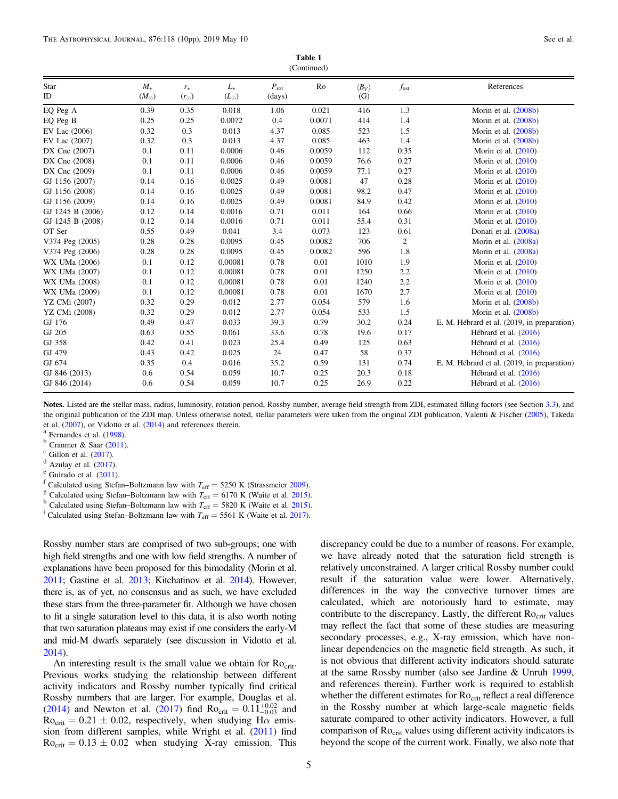| Table 1     |  |
|-------------|--|
| (Continued) |  |

| $\sqrt{2}$       |                              |                              |                              |                         |        |                              |           |                                             |
|------------------|------------------------------|------------------------------|------------------------------|-------------------------|--------|------------------------------|-----------|---------------------------------------------|
| Star<br>ID       | $M_{\star}$<br>$(M_{\odot})$ | $r_{\star}$<br>$(r_{\odot})$ | $L_{\star}$<br>$(L_{\odot})$ | $P_{\rm rot}$<br>(days) | Ro     | $\langle B_V \rangle$<br>(G) | $f_{est}$ | References                                  |
| EQ Peg A         | 0.39                         | 0.35                         | 0.018                        | 1.06                    | 0.021  | 416                          | 1.3       | Morin et al. (2008b)                        |
| EQ Peg B         | 0.25                         | 0.25                         | 0.0072                       | 0.4                     | 0.0071 | 414                          | 1.4       | Morin et al. (2008b)                        |
| EV Lac (2006)    | 0.32                         | 0.3                          | 0.013                        | 4.37                    | 0.085  | 523                          | 1.5       | Morin et al. (2008b)                        |
| EV Lac (2007)    | 0.32                         | 0.3                          | 0.013                        | 4.37                    | 0.085  | 463                          | 1.4       | Morin et al. (2008b)                        |
| DX Cnc (2007)    | 0.1                          | 0.11                         | 0.0006                       | 0.46                    | 0.0059 | 112                          | 0.35      | Morin et al. $(2010)$                       |
| DX Cnc (2008)    | 0.1                          | 0.11                         | 0.0006                       | 0.46                    | 0.0059 | 76.6                         | 0.27      | Morin et al. $(2010)$                       |
| DX Cnc (2009)    | 0.1                          | 0.11                         | 0.0006                       | 0.46                    | 0.0059 | 77.1                         | 0.27      | Morin et al. $(2010)$                       |
| GJ 1156 (2007)   | 0.14                         | 0.16                         | 0.0025                       | 0.49                    | 0.0081 | 47                           | 0.28      | Morin et al. $(2010)$                       |
| GJ 1156 (2008)   | 0.14                         | 0.16                         | 0.0025                       | 0.49                    | 0.0081 | 98.2                         | 0.47      | Morin et al. $(2010)$                       |
| GJ 1156 (2009)   | 0.14                         | 0.16                         | 0.0025                       | 0.49                    | 0.0081 | 84.9                         | 0.42      | Morin et al. $(2010)$                       |
| GJ 1245 B (2006) | 0.12                         | 0.14                         | 0.0016                       | 0.71                    | 0.011  | 164                          | 0.66      | Morin et al. $(2010)$                       |
| GJ 1245 B (2008) | 0.12                         | 0.14                         | 0.0016                       | 0.71                    | 0.011  | 55.4                         | 0.31      | Morin et al. $(2010)$                       |
| OT Ser           | 0.55                         | 0.49                         | 0.041                        | 3.4                     | 0.073  | 123                          | 0.61      | Donati et al. (2008a)                       |
| V374 Peg (2005)  | 0.28                         | 0.28                         | 0.0095                       | 0.45                    | 0.0082 | 706                          | 2         | Morin et al. (2008a)                        |
| V374 Peg (2006)  | 0.28                         | 0.28                         | 0.0095                       | 0.45                    | 0.0082 | 596                          | 1.8       | Morin et al. (2008a)                        |
| WX UMa (2006)    | 0.1                          | 0.12                         | 0.00081                      | 0.78                    | 0.01   | 1010                         | 1.9       | Morin et al. $(2010)$                       |
| WX UMa (2007)    | 0.1                          | 0.12                         | 0.00081                      | 0.78                    | 0.01   | 1250                         | 2.2       | Morin et al. $(2010)$                       |
| WX UMa (2008)    | 0.1                          | 0.12                         | 0.00081                      | 0.78                    | 0.01   | 1240                         | 2.2       | Morin et al. $(2010)$                       |
| WX UMa (2009)    | 0.1                          | 0.12                         | 0.00081                      | 0.78                    | 0.01   | 1670                         | 2.7       | Morin et al. $(2010)$                       |
| YZ CMi (2007)    | 0.32                         | 0.29                         | 0.012                        | 2.77                    | 0.054  | 579                          | 1.6       | Morin et al. (2008b)                        |
| YZ CMi (2008)    | 0.32                         | 0.29                         | 0.012                        | 2.77                    | 0.054  | 533                          | 1.5       | Morin et al. (2008b)                        |
| GJ 176           | 0.49                         | 0.47                         | 0.033                        | 39.3                    | 0.79   | 30.2                         | 0.24      | E. M. Hébrard et al. (2019, in preparation) |
| GJ 205           | 0.63                         | 0.55                         | 0.061                        | 33.6                    | 0.78   | 19.6                         | 0.17      | Hébrard et al. (2016)                       |
| GJ 358           | 0.42                         | 0.41                         | 0.023                        | 25.4                    | 0.49   | 125                          | 0.63      | Hébrard et al. (2016)                       |
| GJ 479           | 0.43                         | 0.42                         | 0.025                        | 24                      | 0.47   | 58                           | 0.37      | Hébrard et al. (2016)                       |
| GJ 674           | 0.35                         | 0.4                          | 0.016                        | 35.2                    | 0.59   | 131                          | 0.74      | E. M. Hébrard et al. (2019, in preparation) |
| GJ 846 (2013)    | 0.6                          | 0.54                         | 0.059                        | 10.7                    | 0.25   | 20.3                         | 0.18      | Hébrard et al. (2016)                       |
| GJ 846 (2014)    | 0.6                          | 0.54                         | 0.059                        | 10.7                    | 0.25   | 26.9                         | 0.22      | Hébrard et al. (2016)                       |

Notes. Listed are the stellar mass, radius, luminosity, rotation period, Rossby number, average field strength from ZDI, estimated filling factors (see Section [3.3](#page-7-0)), and the original publication of the ZDI map. Unless otherwise noted, stellar parameters were taken from the original ZDI publication, Valenti & Fischer ([2005](#page-9-0)), Takeda et al. ([2007](#page-9-0)), or Vidotto et al. ([2014](#page-9-0)) and references therein.<br>
<sup>a</sup> Fernandes et al. ([1998](#page-8-0)).<br>
<sup>b</sup> Cranmer & Saar ([2011](#page-9-0)).<br>
c Gillon et al. ([2017](#page-8-0)).<br>
<sup>d</sup> Azulay et al. (2017).<br>
<sup>e</sup> Guirado et al. (2011).<br>
<sup>f</sup> Calculated usi

- 
- <sup>i</sup> Calculated using Stefan–Boltzmann law with  $T_{\text{eff}} = 5561 \text{ K}$  (Waite et al. [2017](#page-9-0)).

Rossby number stars are comprised of two sub-groups; one with high field strengths and one with low field strengths. A number of explanations have been proposed for this bimodality (Morin et al. [2011](#page-9-0); Gastine et al. [2013;](#page-9-0) Kitchatinov et al. [2014](#page-9-0)). However, there is, as of yet, no consensus and as such, we have excluded these stars from the three-parameter fit. Although we have chosen to fit a single saturation level to this data, it is also worth noting that two saturation plateaus may exist if one considers the early-M and mid-M dwarfs separately (see discussion in Vidotto et al. [2014](#page-9-0)).

An interesting result is the small value we obtain for Rocrit. Previous works studying the relationship between different activity indicators and Rossby number typically find critical Rossby numbers that are larger. For example, Douglas et al. ([2014](#page-8-0)) and Newton et al. ([2017](#page-9-0)) find  $Ro_{\text{crit}} = 0.11_{-0.03}^{+0.02}$  and  $Ro<sub>crit</sub> = 0.21 \pm 0.02$ , respectively, when studying H $\alpha$  emission from different samples, while Wright et al. ([2011](#page-9-0)) find  $Ro<sub>crit</sub> = 0.13 \pm 0.02$  when studying X-ray emission. This discrepancy could be due to a number of reasons. For example, we have already noted that the saturation field strength is relatively unconstrained. A larger critical Rossby number could result if the saturation value were lower. Alternatively, differences in the way the convective turnover times are calculated, which are notoriously hard to estimate, may contribute to the discrepancy. Lastly, the different Ro<sub>crit</sub> values may reflect the fact that some of these studies are measuring secondary processes, e.g., X-ray emission, which have nonlinear dependencies on the magnetic field strength. As such, it is not obvious that different activity indicators should saturate at the same Rossby number (also see Jardine & Unruh [1999](#page-9-0), and references therein). Further work is required to establish whether the different estimates for  $Ro<sub>crit</sub>$  reflect a real difference in the Rossby number at which large-scale magnetic fields saturate compared to other activity indicators. However, a full comparison of Ro<sub>crit</sub> values using different activity indicators is beyond the scope of the current work. Finally, we also note that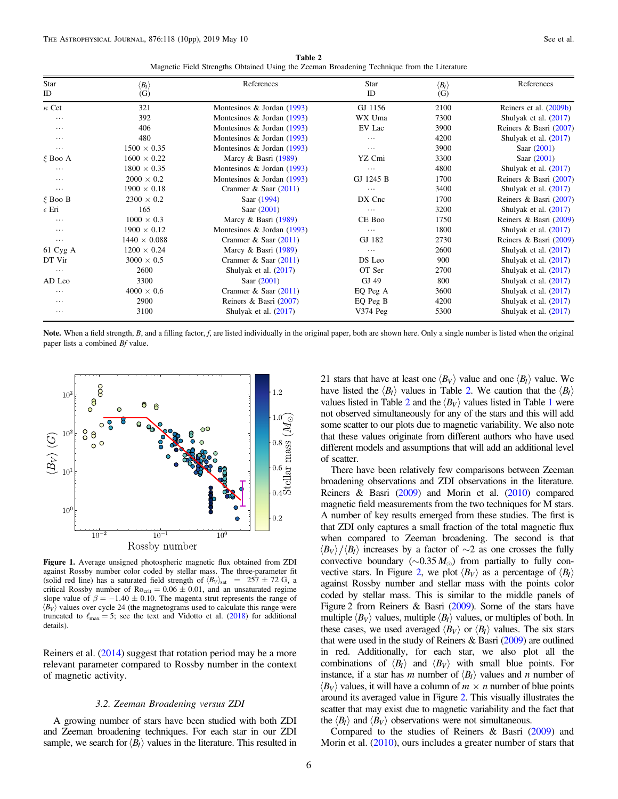Table 2 Magnetic Field Strengths Obtained Using the Zeeman Broadening Technique from the Literature

<span id="page-5-0"></span>

| Star<br>ID       | $\langle B_I \rangle$ | References                   | <b>Star</b><br>ID | $\langle B_I \rangle$ | References              |
|------------------|-----------------------|------------------------------|-------------------|-----------------------|-------------------------|
|                  | (G)                   |                              |                   | (G)                   |                         |
| $\kappa$ Cet     | 321                   | Montesinos & Jordan (1993)   | GJ 1156           | 2100                  | Reiners et al. (2009b)  |
| $\cdots$         | 392                   | Montesinos & Jordan $(1993)$ | WX Uma            | 7300                  | Shulyak et al. $(2017)$ |
| $\cdots$         | 406                   | Montesinos & Jordan $(1993)$ | EV Lac            | 3900                  | Reiners & Basri (2007)  |
| $\cdots$         | 480                   | Montesinos & Jordan (1993)   | .                 | 4200                  | Shulyak et al. $(2017)$ |
| $\cdots$         | $1500 \times 0.35$    | Montesinos & Jordan (1993)   | .                 | 3900                  | Saar (2001)             |
| $\xi$ Boo A      | $1600 \times 0.22$    | Marcy & Basri (1989)         | YZ Cmi            | 3300                  | Saar $(2001)$           |
| $\cdots$         | $1800 \times 0.35$    | Montesinos & Jordan $(1993)$ | .                 | 4800                  | Shulyak et al. $(2017)$ |
| $\cdots$         | $2000 \times 0.2$     | Montesinos & Jordan (1993)   | GJ 1245 B         | 1700                  | Reiners & Basri (2007)  |
| $\cdots$         | $1900 \times 0.18$    | Cranmer & Saar $(2011)$      | .                 | 3400                  | Shulyak et al. $(2017)$ |
| $\xi$ Boo B      | $2300 \times 0.2$     | Saar (1994)                  | DX Cnc            | 1700                  | Reiners & Basri (2007)  |
| $\epsilon$ Eri   | 165                   | Saar $(2001)$                | .                 | 3200                  | Shulyak et al. $(2017)$ |
|                  | $1000 \times 0.3$     | Marcy & Basri (1989)         | CE Boo            | 1750                  | Reiners & Basri (2009)  |
| $\cdots$         | $1900 \times 0.12$    | Montesinos & Jordan (1993)   | $\cdots$          | 1800                  | Shulyak et al. $(2017)$ |
| $\cdots$         | $1440 \times 0.088$   | Cranmer & Saar $(2011)$      | GJ 182            | 2730                  | Reiners & Basri (2009)  |
| $61 \, Cyg \, A$ | $1200 \times 0.24$    | Marcy & Basri (1989)         | $\cdots$          | 2600                  | Shulyak et al. (2017)   |
| DT Vir           | $3000 \times 0.5$     | Cranmer & Saar $(2011)$      | DS Leo            | 900                   | Shulyak et al. $(2017)$ |
| $\cdots$         | 2600                  | Shulyak et al. $(2017)$      | OT Ser            | 2700                  | Shulyak et al. $(2017)$ |
| AD Leo           | 3300                  | Saar $(2001)$                | GJ 49             | 800                   | Shulyak et al. $(2017)$ |
| $\cdots$         | $4000 \times 0.6$     | Cranmer & Saar $(2011)$      | EQ Peg A          | 3600                  | Shulyak et al. $(2017)$ |
| $\cdots$         | 2900                  | Reiners & Basri $(2007)$     | EQ Peg B          | 4200                  | Shulyak et al. $(2017)$ |
| $\cdots$         | 3100                  | Shulyak et al. $(2017)$      | $V374$ Peg        | 5300                  | Shulyak et al. $(2017)$ |

Note. When a field strength, B, and a filling factor, f, are listed individually in the original paper, both are shown here. Only a single number is listed when the original paper lists a combined Bf value.



Figure 1. Average unsigned photospheric magnetic flux obtained from ZDI against Rossby number color coded by stellar mass. The three-parameter fit (solid red line) has a saturated field strength of  $\langle B_V \rangle_{\text{sat}}$  = 257 ± 72 G, a critical Rossby number of  $Ro_{\text{crit}} = 0.06 \pm 0.01$ , and an unsaturated regime slope value of  $\beta = -1.40 \pm 0.10$ . The magenta strut represents the range of  $\langle B_V \rangle$  values over cycle 24 (the magnetograms used to calculate this range were truncated to  $\ell_{\text{max}} = 5$ ; see the text and Vidotto et al. ([2018](#page-9-0)) for additional details).

Reiners et al. ([2014](#page-9-0)) suggest that rotation period may be a more relevant parameter compared to Rossby number in the context of magnetic activity.

# 3.2. Zeeman Broadening versus ZDI

A growing number of stars have been studied with both ZDI and Zeeman broadening techniques. For each star in our ZDI sample, we search for  $\langle B_I \rangle$  values in the literature. This resulted in 21 stars that have at least one  $\langle B_V \rangle$  value and one  $\langle B_I \rangle$  value. We have listed the  $\langle B_I \rangle$  values in Table 2. We caution that the  $\langle B_I \rangle$ values listed in Table 2 and the  $\langle B_V \rangle$  values listed in Table [1](#page-2-0) were not observed simultaneously for any of the stars and this will add some scatter to our plots due to magnetic variability. We also note that these values originate from different authors who have used different models and assumptions that will add an additional level of scatter.

There have been relatively few comparisons between Zeeman broadening observations and ZDI observations in the literature. Reiners & Basri ([2009](#page-9-0)) and Morin et al. ([2010](#page-9-0)) compared magnetic field measurements from the two techniques for M stars. A number of key results emerged from these studies. The first is that ZDI only captures a small fraction of the total magnetic flux when compared to Zeeman broadening. The second is that  $\langle B_V \rangle / \langle B_I \rangle$  increases by a factor of ∼2 as one crosses the fully convective boundary ( $\sim$ 0.35 M<sub>☉</sub>) from partially to fully con-vective stars. In Figure [2](#page-6-0), we plot  $\langle B_V \rangle$  as a percentage of  $\langle B_I \rangle$ against Rossby number and stellar mass with the points color coded by stellar mass. This is similar to the middle panels of Figure 2 from Reiners & Basri ([2009](#page-9-0)). Some of the stars have multiple  $\langle B_V \rangle$  values, multiple  $\langle B_I \rangle$  values, or multiples of both. In these cases, we used averaged  $\langle B_V \rangle$  or  $\langle B_I \rangle$  values. The six stars that were used in the study of Reiners & Basri ([2009](#page-9-0)) are outlined in red. Additionally, for each star, we also plot all the combinations of  $\langle B_l \rangle$  and  $\langle B_V \rangle$  with small blue points. For instance, if a star has m number of  $\langle B_l \rangle$  values and n number of  $\langle B_V \rangle$  values, it will have a column of  $m \times n$  number of blue points around its averaged value in Figure [2](#page-6-0). This visually illustrates the scatter that may exist due to magnetic variability and the fact that the  $\langle B_l \rangle$  and  $\langle B_V \rangle$  observations were not simultaneous.

Compared to the studies of Reiners & Basri ([2009](#page-9-0)) and Morin et al. ([2010](#page-9-0)), ours includes a greater number of stars that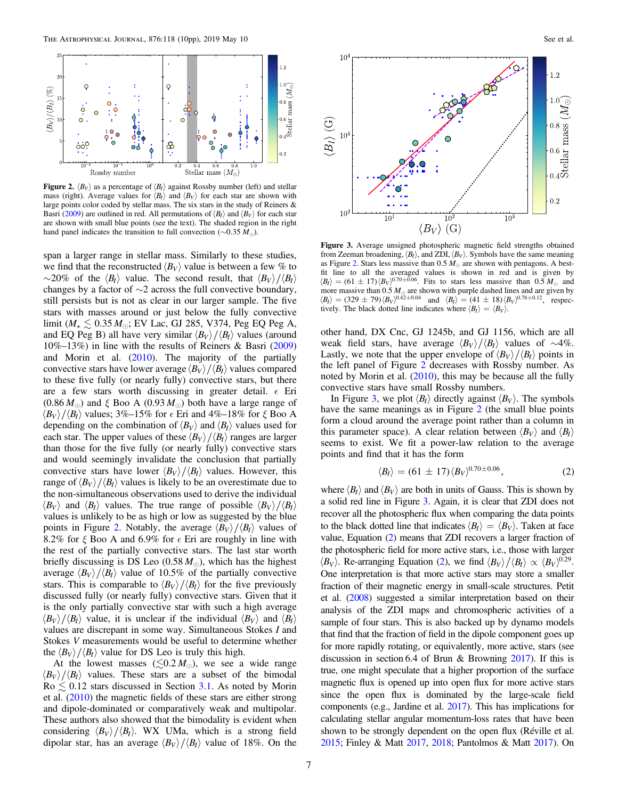<span id="page-6-0"></span>

**Figure 2.**  $\langle B_V \rangle$  as a percentage of  $\langle B_I \rangle$  against Rossby number (left) and stellar mass (right). Average values for  $\langle B_I \rangle$  and  $\langle B_V \rangle$  for each star are shown with large points color coded by stellar mass. The six stars in the study of Reiners & Basri ([2009](#page-9-0)) are outlined in red. All permutations of  $\langle B_I \rangle$  and  $\langle B_V \rangle$  for each star are shown with small blue points (see the text). The shaded region in the right hand panel indicates the transition to full convection ( $\sim$ 0.35 M<sub>☉</sub>).

span a larger range in stellar mass. Similarly to these studies, we find that the reconstructed  $\langle B_V \rangle$  value is between a few % to  $\sim$ 20% of the  $\langle B_I \rangle$  value. The second result, that  $\langle B_V \rangle / \langle B_I \rangle$ changes by a factor of  $\sim$ 2 across the full convective boundary, still persists but is not as clear in our larger sample. The five stars with masses around or just below the fully convective limit ( $M_{\star} \leq 0.35 M_{\odot}$ ; EV Lac, GJ 285, V374, Peg EQ Peg A, and EQ Peg B) all have very similar  $\langle B_V \rangle / \langle B_I \rangle$  values (around 10%–13%) in line with the results of Reiners & Basri ([2009](#page-9-0)) and Morin et al.  $(2010)$  $(2010)$  $(2010)$ . The majority of the partially convective stars have lower average  $\langle B_V \rangle / \langle B_I \rangle$  values compared to these five fully (or nearly fully) convective stars, but there are a few stars worth discussing in greater detail.  $\epsilon$  Eri  $(0.86 M_{\odot})$  and  $\xi$  Boo A  $(0.93 M_{\odot})$  both have a large range of  $\langle B_V \rangle / \langle B_I \rangle$  values; 3%–15% for  $\epsilon$  Eri and 4%–18% for  $\xi$  Boo A depending on the combination of  $\langle B_V \rangle$  and  $\langle B_I \rangle$  values used for each star. The upper values of these  $\langle B_V \rangle / \langle B_I \rangle$  ranges are larger than those for the five fully (or nearly fully) convective stars and would seemingly invalidate the conclusion that partially convective stars have lower  $\langle B_V \rangle / \langle B_I \rangle$  values. However, this range of  $\langle B_V \rangle / \langle B_I \rangle$  values is likely to be an overestimate due to the non-simultaneous observations used to derive the individual  $\langle B_V \rangle$  and  $\langle B_I \rangle$  values. The true range of possible  $\langle B_V \rangle / \langle B_I \rangle$ values is unlikely to be as high or low as suggested by the blue points in Figure 2. Notably, the average  $\langle B_V \rangle / \langle B_I \rangle$  values of 8.2% for  $\xi$  Boo A and 6.9% for  $\xi$  Eri are roughly in line with the rest of the partially convective stars. The last star worth briefly discussing is DS Leo  $(0.58 M_{\odot})$ , which has the highest average  $\langle B_V \rangle / \langle B_I \rangle$  value of 10.5% of the partially convective stars. This is comparable to  $\langle B_V \rangle / \langle B_I \rangle$  for the five previously discussed fully (or nearly fully) convective stars. Given that it is the only partially convective star with such a high average  $\langle B_V \rangle / \langle B_I \rangle$  value, it is unclear if the individual  $\langle B_V \rangle$  and  $\langle B_I \rangle$ values are discrepant in some way. Simultaneous Stokes I and Stokes V measurements would be useful to determine whether the  $\langle B_V \rangle / \langle B_I \rangle$  value for DS Leo is truly this high.

At the lowest masses  $(\leq 0.2 M_{\odot})$ , we see a wide range  $\langle B_V \rangle / \langle B_I \rangle$  values. These stars are a subset of the bimodal  $Ro \lesssim 0.12$  stars discussed in Section [3.1.](#page-1-0) As noted by Morin et al. ([2010](#page-9-0)) the magnetic fields of these stars are either strong and dipole-dominated or comparatively weak and multipolar. These authors also showed that the bimodality is evident when considering  $\langle B_V \rangle / \langle B_I \rangle$ . WX UMa, which is a strong field dipolar star, has an average  $\langle B_V \rangle / \langle B_I \rangle$  value of 18%. On the



Figure 3. Average unsigned photospheric magnetic field strengths obtained from Zeeman broadening,  $\langle B_I \rangle$ , and ZDI,  $\langle B_V \rangle$ . Symbols have the same meaning as Figure 2. Stars less massive than  $0.5 M_{\odot}$  are shown with pentagons. A bestfit line to all the averaged values is shown in red and is given by  $\langle B_I \rangle = (61 \pm 17) \langle B_V \rangle^{0.70 \pm 0.06}$ . Fits to stars less massive than  $0.5 M_{\odot}$  and more massive than  $0.5 M_{\odot}$  are shown with purple dashed lines and are given by  $\langle B_I \rangle = (329 \pm 79) \langle B_V \rangle^{0.42 \pm 0.04}$  and  $\langle B_I \rangle = (41 \pm 18) \langle B_V \rangle^{0.78 \pm 0.12}$ , respectively. The black dotted line indicates where  $\langle B_I \rangle = \langle B_V \rangle$ .

other hand, DX Cnc, GJ 1245b, and GJ 1156, which are all weak field stars, have average  $\langle B_V \rangle / \langle B_I \rangle$  values of ~4%. Lastly, we note that the upper envelope of  $\langle B_V \rangle / \langle B_I \rangle$  points in the left panel of Figure 2 decreases with Rossby number. As noted by Morin et al. ([2010](#page-9-0)), this may be because all the fully convective stars have small Rossby numbers.

In Figure 3, we plot  $\langle B_I \rangle$  directly against  $\langle B_V \rangle$ . The symbols have the same meanings as in Figure 2 (the small blue points form a cloud around the average point rather than a column in this parameter space). A clear relation between  $\langle B_V \rangle$  and  $\langle B_I \rangle$ seems to exist. We fit a power-law relation to the average points and find that it has the form

$$
\langle B_{I} \rangle = (61 \pm 17) \langle B_{V} \rangle^{0.70 \pm 0.06}, \tag{2}
$$

where  $\langle B_l \rangle$  and  $\langle B_V \rangle$  are both in units of Gauss. This is shown by a solid red line in Figure 3. Again, it is clear that ZDI does not recover all the photospheric flux when comparing the data points to the black dotted line that indicates  $\langle B_I \rangle = \langle B_V \rangle$ . Taken at face value, Equation (2) means that ZDI recovers a larger fraction of the photospheric field for more active stars, i.e., those with larger  $\langle B_V \rangle$ . Re-arranging Equation (2), we find  $\langle B_V \rangle / \langle B_I \rangle \propto \langle B_V \rangle^{0.29}$ . One interpretation is that more active stars may store a smaller fraction of their magnetic energy in small-scale structures. Petit et al. ([2008](#page-9-0)) suggested a similar interpretation based on their analysis of the ZDI maps and chromospheric activities of a sample of four stars. This is also backed up by dynamo models that find that the fraction of field in the dipole component goes up for more rapidly rotating, or equivalently, more active, stars (see discussion in section 6.4 of Brun & Browning [2017](#page-8-0)). If this is true, one might speculate that a higher proportion of the surface magnetic flux is opened up into open flux for more active stars since the open flux is dominated by the large-scale field components (e.g., Jardine et al. [2017](#page-9-0)). This has implications for calculating stellar angular momentum-loss rates that have been shown to be strongly dependent on the open flux (Réville et al. [2015](#page-9-0); Finley & Matt [2017](#page-8-0), [2018](#page-8-0); Pantolmos & Matt [2017](#page-9-0)). On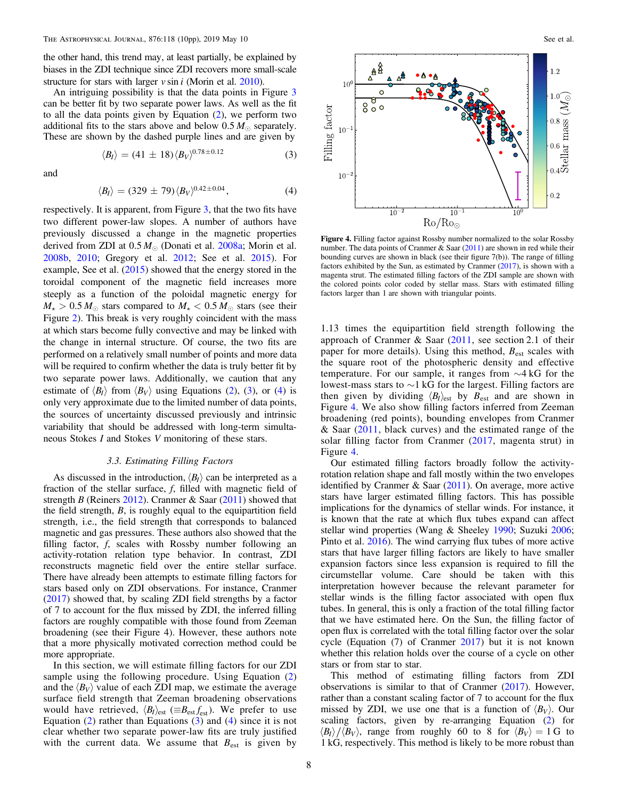<span id="page-7-0"></span>the other hand, this trend may, at least partially, be explained by biases in the ZDI technique since ZDI recovers more small-scale structure for stars with larger  $v \sin i$  (Morin et al. [2010](#page-9-0)).

An intriguing possibility is that the data points in Figure [3](#page-6-0) can be better fit by two separate power laws. As well as the fit to all the data points given by Equation ([2](#page-6-0)), we perform two additional fits to the stars above and below  $0.5 M_{\odot}$  separately. These are shown by the dashed purple lines and are given by

$$
\langle B_{I} \rangle = (41 \pm 18) \langle B_{V} \rangle^{0.78 \pm 0.12}
$$
 (3)

and

$$
\langle B_{I} \rangle = (329 \pm 79) \langle B_{V} \rangle^{0.42 \pm 0.04}, \tag{4}
$$

respectively. It is apparent, from Figure [3,](#page-6-0) that the two fits have two different power-law slopes. A number of authors have previously discussed a change in the magnetic properties derived from ZDI at  $0.5 M_{\odot}$  (Donati et al. [2008a](#page-8-0); Morin et al. [2008b,](#page-9-0) [2010](#page-9-0); Gregory et al. [2012;](#page-9-0) See et al. [2015](#page-9-0)). For example, See et al.  $(2015)$  $(2015)$  $(2015)$  showed that the energy stored in the toroidal component of the magnetic field increases more steeply as a function of the poloidal magnetic energy for  $M_{\star} > 0.5 M_{\odot}$  stars compared to  $M_{\star} < 0.5 M_{\odot}$  stars (see their Figure [2](#page-6-0)). This break is very roughly coincident with the mass at which stars become fully convective and may be linked with the change in internal structure. Of course, the two fits are performed on a relatively small number of points and more data will be required to confirm whether the data is truly better fit by two separate power laws. Additionally, we caution that any estimate of  $\langle B_l \rangle$  from  $\langle B_v \rangle$  using Equations ([2](#page-6-0)), (3), or (4) is only very approximate due to the limited number of data points, the sources of uncertainty discussed previously and intrinsic variability that should be addressed with long-term simultaneous Stokes I and Stokes V monitoring of these stars.

# 3.3. Estimating Filling Factors

As discussed in the introduction,  $\langle B_I \rangle$  can be interpreted as a fraction of the stellar surface, f, filled with magnetic field of strength B (Reiners [2012](#page-9-0)). Cranmer & Saar  $(2011)$  $(2011)$  $(2011)$  showed that the field strength, B, is roughly equal to the equipartition field strength, i.e., the field strength that corresponds to balanced magnetic and gas pressures. These authors also showed that the filling factor, f, scales with Rossby number following an activity-rotation relation type behavior. In contrast, ZDI reconstructs magnetic field over the entire stellar surface. There have already been attempts to estimate filling factors for stars based only on ZDI observations. For instance, Cranmer ([2017](#page-8-0)) showed that, by scaling ZDI field strengths by a factor of 7 to account for the flux missed by ZDI, the inferred filling factors are roughly compatible with those found from Zeeman broadening (see their Figure 4). However, these authors note that a more physically motivated correction method could be more appropriate.

In this section, we will estimate filling factors for our ZDI sample using the following procedure. Using Equation ([2](#page-6-0)) and the  $\langle B_V \rangle$  value of each ZDI map, we estimate the average surface field strength that Zeeman broadening observations would have retrieved,  $\langle B_{I} \rangle_{\text{est}} \left( \equiv B_{\text{est}} f_{\text{est}} \right)$ . We prefer to use Equation ([2](#page-6-0)) rather than Equations (3) and (4) since it is not clear whether two separate power-law fits are truly justified with the current data. We assume that  $B_{est}$  is given by



Figure 4. Filling factor against Rossby number normalized to the solar Rossby number. The data points of Cranmer & Saar  $(2011)$  $(2011)$  $(2011)$  are shown in red while their bounding curves are shown in black (see their figure 7(b)). The range of filling factors exhibited by the Sun, as estimated by Cranmer ([2017](#page-8-0)), is shown with a magenta strut. The estimated filling factors of the ZDI sample are shown with the colored points color coded by stellar mass. Stars with estimated filling factors larger than 1 are shown with triangular points.

1.13 times the equipartition field strength following the approach of Cranmer & Saar ([2011,](#page-8-0) see section 2.1 of their paper for more details). Using this method,  $B_{est}$  scales with the square root of the photospheric density and effective temperature. For our sample, it ranges from ∼4 kG for the lowest-mass stars to ∼1 kG for the largest. Filling factors are then given by dividing  $\langle B_I \rangle_{\text{est}}$  by  $B_{\text{est}}$  and are shown in Figure 4. We also show filling factors inferred from Zeeman broadening (red points), bounding envelopes from Cranmer & Saar ([2011](#page-8-0), black curves) and the estimated range of the solar filling factor from Cranmer  $(2017,$  $(2017,$  $(2017,$  magenta strut) in Figure 4.

Our estimated filling factors broadly follow the activityrotation relation shape and fall mostly within the two envelopes identified by Cranmer & Saar ([2011](#page-8-0)). On average, more active stars have larger estimated filling factors. This has possible implications for the dynamics of stellar winds. For instance, it is known that the rate at which flux tubes expand can affect stellar wind properties (Wang & Sheeley [1990;](#page-9-0) Suzuki [2006](#page-9-0); Pinto et al. [2016](#page-9-0)). The wind carrying flux tubes of more active stars that have larger filling factors are likely to have smaller expansion factors since less expansion is required to fill the circumstellar volume. Care should be taken with this interpretation however because the relevant parameter for stellar winds is the filling factor associated with open flux tubes. In general, this is only a fraction of the total filling factor that we have estimated here. On the Sun, the filling factor of open flux is correlated with the total filling factor over the solar cycle (Equation (7) of Cranmer [2017](#page-8-0)) but it is not known whether this relation holds over the course of a cycle on other stars or from star to star.

This method of estimating filling factors from ZDI observations is similar to that of Cranmer ([2017](#page-8-0)). However, rather than a constant scaling factor of 7 to account for the flux missed by ZDI, we use one that is a function of  $\langle B_V \rangle$ . Our scaling factors, given by re-arranging Equation ([2](#page-6-0)) for  $\langle B_l \rangle / \langle B_V \rangle$ , range from roughly 60 to 8 for  $\langle B_V \rangle = 1$  G to 1 kG, respectively. This method is likely to be more robust than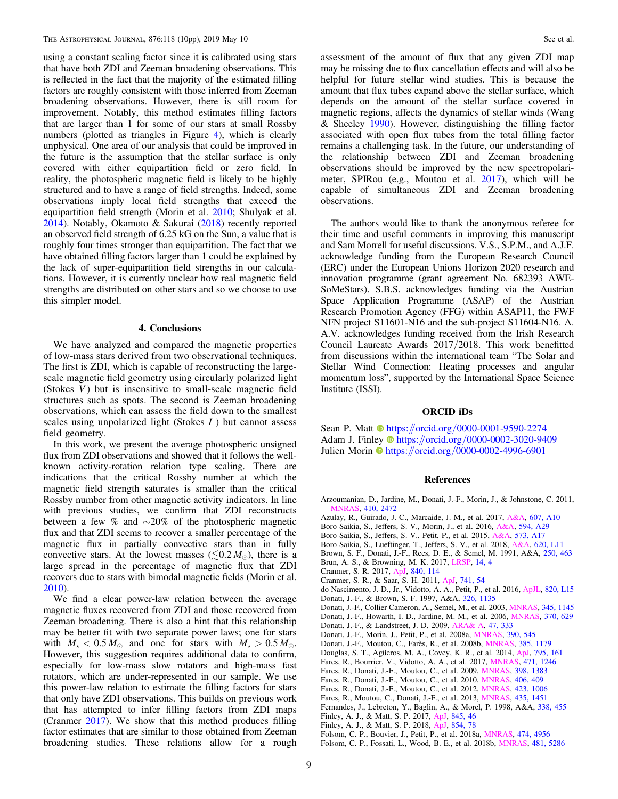<span id="page-8-0"></span>using a constant scaling factor since it is calibrated using stars that have both ZDI and Zeeman broadening observations. This is reflected in the fact that the majority of the estimated filling factors are roughly consistent with those inferred from Zeeman broadening observations. However, there is still room for improvement. Notably, this method estimates filling factors that are larger than 1 for some of our stars at small Rossby numbers (plotted as triangles in Figure [4](#page-7-0)), which is clearly unphysical. One area of our analysis that could be improved in the future is the assumption that the stellar surface is only covered with either equipartition field or zero field. In reality, the photospheric magnetic field is likely to be highly structured and to have a range of field strengths. Indeed, some observations imply local field strengths that exceed the equipartition field strength (Morin et al. [2010](#page-9-0); Shulyak et al. [2014](#page-9-0)). Notably, Okamoto & Sakurai ([2018](#page-9-0)) recently reported an observed field strength of 6.25 kG on the Sun, a value that is roughly four times stronger than equipartition. The fact that we have obtained filling factors larger than 1 could be explained by the lack of super-equipartition field strengths in our calculations. However, it is currently unclear how real magnetic field strengths are distributed on other stars and so we choose to use this simpler model.

## 4. Conclusions

We have analyzed and compared the magnetic properties of low-mass stars derived from two observational techniques. The first is ZDI, which is capable of reconstructing the largescale magnetic field geometry using circularly polarized light (Stokes  $V$ ) but is insensitive to small-scale magnetic field structures such as spots. The second is Zeeman broadening observations, which can assess the field down to the smallest scales using unpolarized light (Stokes  $I$ ) but cannot assess field geometry.

In this work, we present the average photospheric unsigned flux from ZDI observations and showed that it follows the wellknown activity-rotation relation type scaling. There are indications that the critical Rossby number at which the magnetic field strength saturates is smaller than the critical Rossby number from other magnetic activity indicators. In line with previous studies, we confirm that ZDI reconstructs between a few % and ∼20% of the photospheric magnetic flux and that ZDI seems to recover a smaller percentage of the magnetic flux in partially convective stars than in fully convective stars. At the lowest masses ( $\leq 0.2 M_{\odot}$ ), there is a large spread in the percentage of magnetic flux that ZDI recovers due to stars with bimodal magnetic fields (Morin et al. [2010](#page-9-0)).

We find a clear power-law relation between the average magnetic fluxes recovered from ZDI and those recovered from Zeeman broadening. There is also a hint that this relationship may be better fit with two separate power laws; one for stars with  $M_{\star} < 0.5 M_{\odot}$  and one for stars with  $M_{\star} > 0.5 M_{\odot}$ . However, this suggestion requires additional data to confirm, especially for low-mass slow rotators and high-mass fast rotators, which are under-represented in our sample. We use this power-law relation to estimate the filling factors for stars that only have ZDI observations. This builds on previous work that has attempted to infer filling factors from ZDI maps (Cranmer 2017). We show that this method produces filling factor estimates that are similar to those obtained from Zeeman broadening studies. These relations allow for a rough

assessment of the amount of flux that any given ZDI map may be missing due to flux cancellation effects and will also be helpful for future stellar wind studies. This is because the amount that flux tubes expand above the stellar surface, which depends on the amount of the stellar surface covered in magnetic regions, affects the dynamics of stellar winds (Wang & Sheeley [1990](#page-9-0)). However, distinguishing the filling factor associated with open flux tubes from the total filling factor remains a challenging task. In the future, our understanding of the relationship between ZDI and Zeeman broadening observations should be improved by the new spectropolarimeter, SPIRou (e.g., Moutou et al. [2017](#page-9-0)), which will be capable of simultaneous ZDI and Zeeman broadening observations.

The authors would like to thank the anonymous referee for their time and useful comments in improving this manuscript and Sam Morrell for useful discussions. V.S., S.P.M., and A.J.F. acknowledge funding from the European Research Council (ERC) under the European Unions Horizon 2020 research and innovation programme (grant agreement No. 682393 AWE-SoMeStars). S.B.S. acknowledges funding via the Austrian Space Application Programme (ASAP) of the Austrian Research Promotion Agency (FFG) within ASAP11, the FWF NFN project S11601-N16 and the sub-project S11604-N16. A. A.V. acknowledges funding received from the Irish Research Council Laureate Awards 2017/2018. This work benefitted from discussions within the international team "The Solar and Stellar Wind Connection: Heating processes and angular momentum loss", supported by the International Space Science Institute (ISSI).

## ORCID iDs

Sean P. Ma[t](https://orcid.org/0000-0001-9590-2274)t  $\bullet$  [https:](https://orcid.org/0000-0001-9590-2274)//orcid.org/[0000-0001-9590-2274](https://orcid.org/0000-0001-9590-2274) Adam J. Finle[y](https://orcid.org/0000-0002-3020-9409)  $\bullet$  [https:](https://orcid.org/0000-0002-3020-9409)//orcid.org/[0000-0002-3020-9409](https://orcid.org/0000-0002-3020-9409) Julien Morin the [https:](https://orcid.org/0000-0002-4996-6901)//orcid.org/[0000-0002-4996-6901](https://orcid.org/0000-0002-4996-6901)

#### References

- Arzoumanian, D., Jardine, M., Donati, J.-F., Morin, J., & Johnstone, C. 2011, [MNRAS](https://doi.org/10.1111/j.1365-2966.2010.17623.x), [410, 2472](http://adsabs.harvard.edu/abs/2011MNRAS.410.2472A)
- Azulay, R., Guirado, J. C., Marcaide, J. M., et al. 2017, [A&A](https://doi.org/10.1051/0004-6361/201730641), [607, A10](http://adsabs.harvard.edu/abs/2017A&A...607A..10A)
- Boro Saikia, S., Jeffers, S. V., Morin, J., et al. 2016, [A&A,](https://doi.org/10.1051/0004-6361/201628262) [594, A29](http://adsabs.harvard.edu/abs/2016A&A...594A..29B)
- Boro Saikia, S., Jeffers, S. V., Petit, P., et al. 2015, [A&A,](https://doi.org/10.1051/0004-6361/201424096) [573, A17](http://adsabs.harvard.edu/abs/2015A&A...573A..17B)
- Boro Saikia, S., Lueftinger, T., Jeffers, S. V., et al. 2018, [A&A,](https://doi.org/10.1051/0004-6361/201834347) [620, L11](http://adsabs.harvard.edu/abs/2018A&A...620L..11B)
- Brown, S. F., Donati, J.-F., Rees, D. E., & Semel, M. 1991, A&A, [250, 463](http://adsabs.harvard.edu/abs/1991A&A...250..463B)
- Brun, A. S., & Browning, M. K. 2017, [LRSP,](https://doi.org/10.1007/s41116-017-0007-8) [14, 4](http://adsabs.harvard.edu/abs/2017LRSP...14....4B)
- Cranmer, S. R. 2017, [ApJ,](https://doi.org/10.3847/1538-4357/aa6f0e) [840, 114](http://adsabs.harvard.edu/abs/2017ApJ...840..114C)
- Cranmer, S. R., & Saar, S. H. 2011, [ApJ](https://doi.org/10.1088/0004-637X/741/1/54), [741, 54](http://adsabs.harvard.edu/abs/2011ApJ...741...54C)
- do Nascimento, J.-D., Jr., Vidotto, A. A., Petit, P., et al. 2016, [ApJL,](https://doi.org/10.3847/2041-8205/820/1/L15) [820, L15](http://adsabs.harvard.edu/abs/2016ApJ...820L..15D) Donati, J.-F., & Brown, S. F. 1997, A&A, [326, 1135](http://adsabs.harvard.edu/abs/1997A&A...326.1135D)
- Donati, J.-F., Collier Cameron, A., Semel, M., et al. 2003, [MNRAS,](https://doi.org/10.1046/j.1365-2966.2003.07031.x) [345, 1145](http://adsabs.harvard.edu/abs/2003MNRAS.345.1145D)

Donati, J.-F., Howarth, I. D., Jardine, M. M., et al. 2006, [MNRAS,](https://doi.org/10.1111/j.1365-2966.2006.10558.x) [370, 629](http://adsabs.harvard.edu/abs/2006MNRAS.370..629D)

- Donati, J.-F., & Landstreet, J. D. 2009, [ARA& A](https://doi.org/10.1146/annurev-astro-082708-101833), [47, 333](http://adsabs.harvard.edu/abs/2009ARA&A..47..333D)
- Donati, J.-F., Morin, J., Petit, P., et al. 2008a, [MNRAS,](https://doi.org/10.1111/j.1365-2966.2008.13799.x) [390, 545](http://adsabs.harvard.edu/abs/2008MNRAS.390..545D)
- Donati, J.-F., Moutou, C., Farès, R., et al. 2008b, [MNRAS](https://doi.org/10.1111/j.1365-2966.2008.12946.x), [385, 1179](http://adsabs.harvard.edu/abs/2008MNRAS.385.1179D)
- Douglas, S. T., Agüeros, M. A., Covey, K. R., et al. 2014, [ApJ,](https://doi.org/10.1088/0004-637X/795/2/161) [795, 161](http://adsabs.harvard.edu/abs/2014ApJ...795..161D)
- Fares, R., Bourrier, V., Vidotto, A. A., et al. 2017, [MNRAS](https://doi.org/10.1093/mnras/stx1581), [471, 1246](http://adsabs.harvard.edu/abs/2017MNRAS.471.1246F)
- Fares, R., Donati, J.-F., Moutou, C., et al. 2009, [MNRAS,](https://doi.org/10.1111/j.1365-2966.2009.15303.x) [398, 1383](http://adsabs.harvard.edu/abs/2009MNRAS.398.1383F)
- Fares, R., Donati, J.-F., Moutou, C., et al. 2010, [MNRAS,](https://doi.org/10.1111/j.1365-2966.2010.16715.x) [406, 409](http://adsabs.harvard.edu/abs/2010MNRAS.406..409F) Fares, R., Donati, J.-F., Moutou, C., et al. 2012, [MNRAS,](https://doi.org/10.1111/j.1365-2966.2012.20780.x) [423, 1006](http://adsabs.harvard.edu/abs/2012MNRAS.423.1006F)
- Fares, R., Moutou, C., Donati, J.-F., et al. 2013, [MNRAS,](https://doi.org/10.1093/mnras/stt1386) [435, 1451](http://adsabs.harvard.edu/abs/2013MNRAS.435.1451F)
- Fernandes, J., Lebreton, Y., Baglin, A., & Morel, P. 1998, A&A, [338, 455](http://adsabs.harvard.edu/abs/1998A&A...338..455F)
- Finley, A. J., & Matt, S. P. 2017, [ApJ,](https://doi.org/10.3847/1538-4357/aa7fb9) [845, 46](http://adsabs.harvard.edu/abs/2017ApJ...845...46F)
- Finley, A. J., & Matt, S. P. 2018, [ApJ,](https://doi.org/10.3847/1538-4357/aaaab5) [854, 78](http://adsabs.harvard.edu/abs/2018ApJ...854...78F)

Folsom, C. P., Fossati, L., Wood, B. E., et al. 2018b, [MNRAS,](https://doi.org/10.1093/mnras/sty2494) [481, 5286](http://adsabs.harvard.edu/abs/2018MNRAS.481.5286F)

Folsom, C. P., Bouvier, J., Petit, P., et al. 2018a, [MNRAS](https://doi.org/10.1093/mnras/stx3021), [474, 4956](http://adsabs.harvard.edu/abs/2018MNRAS.474.4956F)